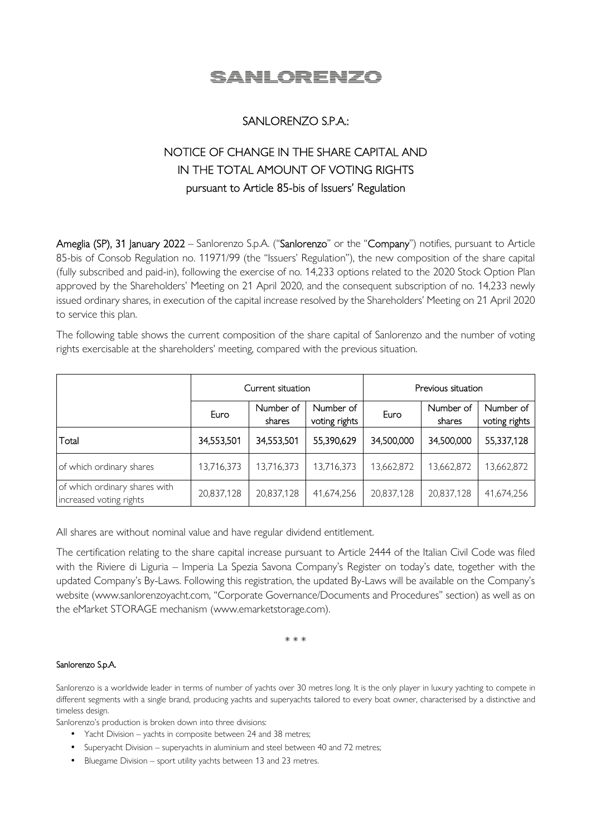

# SANLORENZO S.P.A.:

# NOTICE OF CHANGE IN THE SHARE CAPITAL AND IN THE TOTAL AMOUNT OF VOTING RIGHTS pursuant to Article 85-bis of Issuers' Regulation

Ameglia (SP), 31 January 2022 – Sanlorenzo S.p.A. ("Sanlorenzo" or the "Company") notifies, pursuant to Article 85-bis of Consob Regulation no. 11971/99 (the "Issuers' Regulation"), the new composition of the share capital (fully subscribed and paid-in), following the exercise of no. 14,233 options related to the 2020 Stock Option Plan approved by the Shareholders' Meeting on 21 April 2020, and the consequent subscription of no. 14,233 newly issued ordinary shares, in execution of the capital increase resolved by the Shareholders' Meeting on 21 April 2020 to service this plan.

The following table shows the current composition of the share capital of Sanlorenzo and the number of voting rights exercisable at the shareholders' meeting, compared with the previous situation.

|                                                          | Current situation |                     |                            | Previous situation |                     |                            |
|----------------------------------------------------------|-------------------|---------------------|----------------------------|--------------------|---------------------|----------------------------|
|                                                          | Euro              | Number of<br>shares | Number of<br>voting rights | Euro               | Number of<br>shares | Number of<br>voting rights |
| Total                                                    | 34,553,501        | 34,553,501          | 55,390,629                 | 34,500,000         | 34,500,000          | 55,337,128                 |
| of which ordinary shares                                 | 13,716,373        | 13,716,373          | 13,716,373                 | 13,662,872         | 13,662,872          | 13,662,872                 |
| of which ordinary shares with<br>increased voting rights | 20,837,128        | 20,837,128          | 41,674,256                 | 20,837,128         | 20,837,128          | 41,674,256                 |

All shares are without nominal value and have regular dividend entitlement.

The certification relating to the share capital increase pursuant to Article 2444 of the Italian Civil Code was filed with the Riviere di Liguria – Imperia La Spezia Savona Company's Register on today's date, together with the updated Company's By-Laws. Following this registration, the updated By-Laws will be available on the Company's website (www.sanlorenzoyacht.com, "Corporate Governance/Documents and Procedures" section) as well as on the eMarket STORAGE mechanism (www.emarketstorage.com).

\* \* \*

## Sanlorenzo S.p.A.

Sanlorenzo is a worldwide leader in terms of number of yachts over 30 metres long. It is the only player in luxury yachting to compete in different segments with a single brand, producing yachts and superyachts tailored to every boat owner, characterised by a distinctive and timeless design.

Sanlorenzo's production is broken down into three divisions:

- Yacht Division yachts in composite between 24 and 38 metres;
- Superyacht Division superyachts in aluminium and steel between 40 and 72 metres;
- Bluegame Division sport utility yachts between 13 and 23 metres.